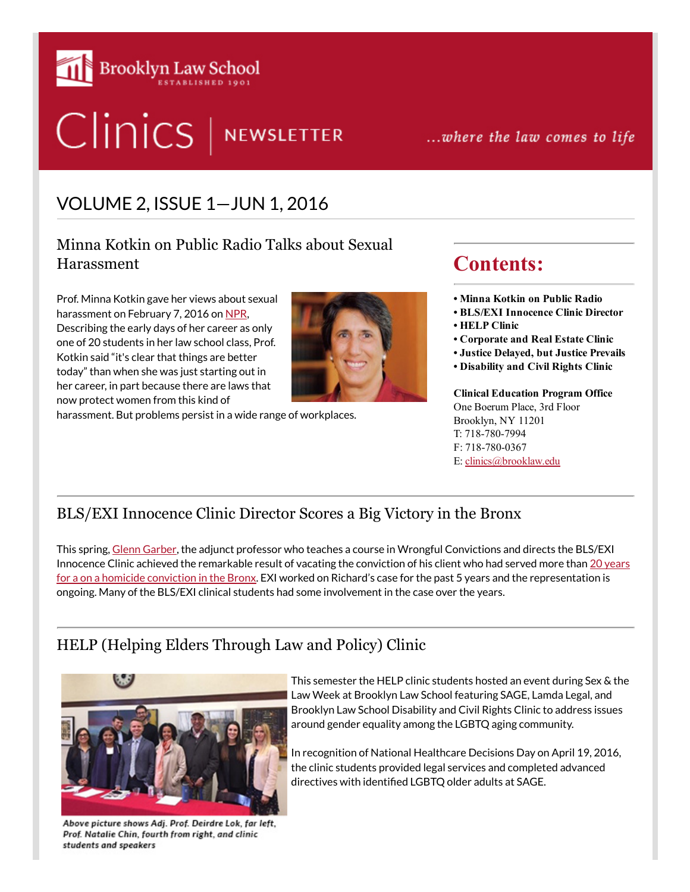

# Clinics | NEWSLETTER

...where the law comes to life

## VOLUME 2, ISSUE 1—JUN 1, 2016

Minna Kotkin on Public Radio Talks about Sexual Harassment

Prof. Minna Kotkin gave her views about sexual harassment on February 7, 2016 on [NPR,](http://www.npr.org/2016/02/07/465878962/weve-begun-to-draw-the-line-but-its-tough-to-define-sexual-harassment) Describing the early days of her career as only one of 20 students in her law school class, Prof. Kotkin said "it's clear that things are better today" than when she was just starting out in her career, in part because there are laws that now protect women from this kind of



harassment. But problems persist in a wide range of workplaces.

## Contents:

• Minna Kotkin on Public Radio

- BLS/EXI Innocence Clinic Director
- HELP Clinic
- Corporate and Real Estate Clinic
- Justice Delayed, but Justice Prevails
- Disability and Civil Rights Clinic

Clinical Education Program Office One Boerum Place, 3rd Floor Brooklyn, NY 11201 T: 718-780-7994 F: 718-780-0367 E: [clinics@brooklaw.edu](mailto:clinics@brooklaw.edu)

### BLS/EXI Innocence Clinic Director Scores a Big Victory in the Bronx

This spring, Glenn [Garber,](http://abovethelaw.com/2016/05/how-to-start-your-own-exoneration-project/) the adjunct professor who teaches a course in Wrongful Convictions and directs the BLS/EXI Innocence Clinic achieved the remarkable result of vacating the conviction of his client who had served more than 20 years for a on a homicide conviction in the Bronx. EXI worked on Richard's case for the past 5 years and the [representation](http://www.nytimes.com/2016/03/24/nyregion/murder-conviction-vacated-for-man-who-served-20-years.html?_r=0) is ongoing. Many of the BLS/EXI clinical students had some involvement in the case over the years.

## HELP (Helping Elders Through Law and Policy) Clinic



Above picture shows Adj. Prof. Deirdre Lok, far left, Prof. Natalie Chin, fourth from right, and clinic students and speakers

This semester the HELP clinic students hosted an event during Sex & the Law Week at Brooklyn Law School featuring SAGE, Lamda Legal, and Brooklyn Law School Disability and Civil Rights Clinic to address issues around gender equality among the LGBTQ aging community.

In recognition of National Healthcare Decisions Day on April 19, 2016, the clinic students provided legal services and completed advanced directives with identified LGBTQ older adults at SAGE.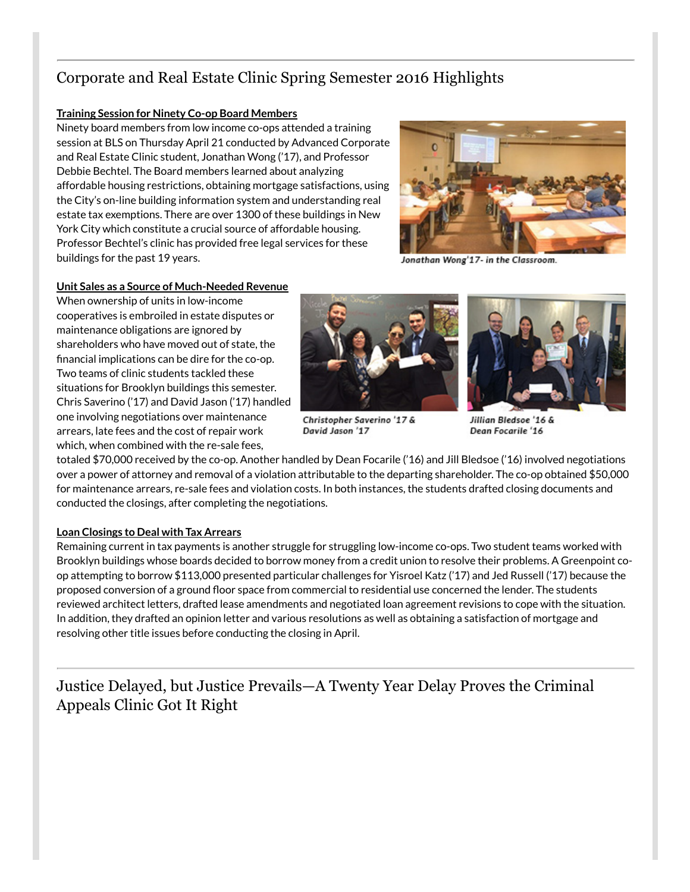## Corporate and Real Estate Clinic Spring Semester 2016 Highlights

#### Training Session for Ninety Co-op Board Members

Ninety board members from low income co-ops attended a training session at BLS on Thursday April 21 conducted by Advanced Corporate and Real Estate Clinic student, Jonathan Wong ('17), and Professor Debbie Bechtel. The Board members learned about analyzing affordable housing restrictions, obtaining mortgage satisfactions, using the City's on-line building information system and understanding real estate tax exemptions. There are over 1300 of these buildings in New York City which constitute a crucial source of affordable housing. Professor Bechtel's clinic has provided free legal services for these buildings for the past 19 years.



Jonathan Wong'17- in the Classroom.

#### Unit Sales as a Source of Much-Needed Revenue

When ownership of units in low-income cooperatives is embroiled in estate disputes or maintenance obligations are ignored by shareholders who have moved out of state, the financial implications can be dire for the co-op. Two teams of clinic students tackled these situations for Brooklyn buildings this semester. Chris Saverino ('17) and David Jason ('17) handled one involving negotiations over maintenance arrears, late fees and the cost of repair work which, when combined with the re-sale fees,



Christopher Saverino '17 & David Jason '17



Jillian Bledsoe '16 & Dean Focarile '16

totaled \$70,000 received by the co-op. Another handled by Dean Focarile ('16) and Jill Bledsoe ('16) involved negotiations over a power of attorney and removal of a violation attributable to the departing shareholder. The co-op obtained \$50,000 for maintenance arrears, re-sale fees and violation costs. In both instances, the students drafted closing documents and conducted the closings, after completing the negotiations.

#### Loan Closings to Deal with Tax Arrears

Remaining current in tax payments is another struggle for struggling low-income co-ops. Two student teams worked with Brooklyn buildings whose boards decided to borrow money from a credit union to resolve their problems. A Greenpoint coop attempting to borrow \$113,000 presented particular challenges for Yisroel Katz ('17) and Jed Russell ('17) because the proposed conversion of a ground floor space from commercial to residential use concerned the lender. The students reviewed architect letters, drafted lease amendments and negotiated loan agreement revisions to cope with the situation. In addition, they drafted an opinion letter and various resolutions as well as obtaining a satisfaction of mortgage and resolving other title issues before conducting the closing in April.

Justice Delayed, but Justice Prevails—A Twenty Year Delay Proves the Criminal Appeals Clinic Got It Right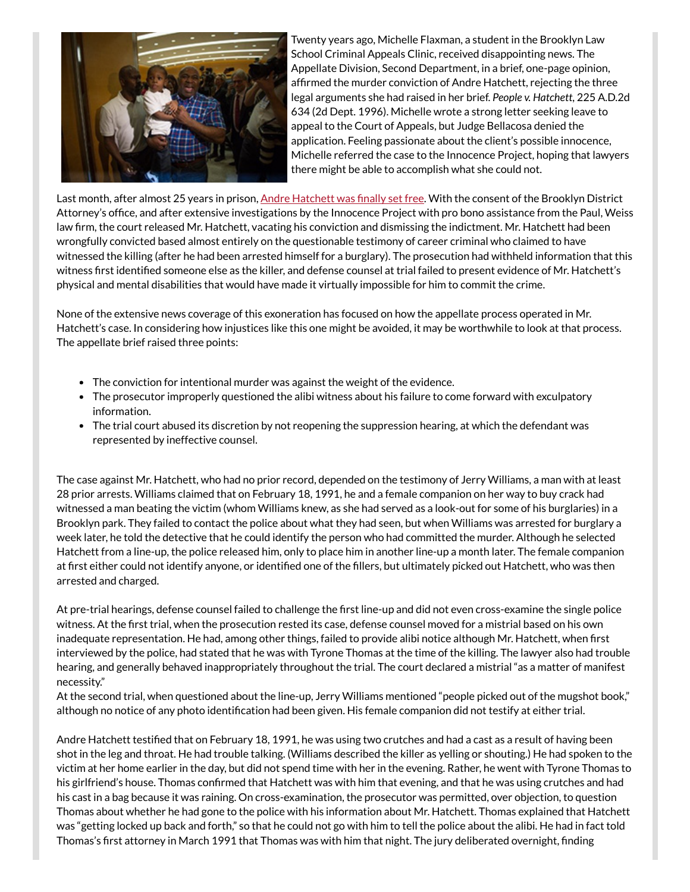

Twenty years ago, Michelle Flaxman, a student in the Brooklyn Law School Criminal Appeals Clinic, received disappointing news. The Appellate Division, Second Department, in a brief, one-page opinion, affirmed the murder conviction of Andre Hatchett, rejecting the three legal arguments she had raised in her brief. *People v. Hatchett*, 225 A.D.2d 634 (2d Dept. 1996). Michelle wrote a strong letter seeking leave to appeal to the Court of Appeals, but Judge Bellacosa denied the application. Feeling passionate about the client's possible innocence, Michelle referred the case to the Innocence Project, hoping that lawyers there might be able to accomplish what she could not.

Last month, after almost 25 years in prison, Andre [Hatchett](http://www.nytimes.com/2016/03/11/nyregion/brooklyn-man-is-exonerated-after-25-years-in-prison-for-murder.html?_r=0) was finally set free. With the consent of the Brooklyn District Attorney's office, and after extensive investigations by the Innocence Project with pro bono assistance from the Paul, Weiss law firm, the court released Mr. Hatchett, vacating his conviction and dismissing the indictment. Mr. Hatchett had been wrongfully convicted based almost entirely on the questionable testimony of career criminal who claimed to have witnessed the killing (after he had been arrested himself for a burglary). The prosecution had withheld information that this witness first identified someone else as the killer, and defense counsel at trial failed to present evidence of Mr. Hatchett's physical and mental disabilities that would have made it virtually impossible for him to commit the crime.

None of the extensive news coverage of this exoneration has focused on how the appellate process operated in Mr. Hatchett's case. In considering how injustices like this one might be avoided, it may be worthwhile to look at that process. The appellate brief raised three points:

- The conviction for intentional murder was against the weight of the evidence.
- The prosecutor improperly questioned the alibi witness about his failure to come forward with exculpatory information.
- The trial court abused its discretion by not reopening the suppression hearing, at which the defendant was represented by ineffective counsel.

The case against Mr. Hatchett, who had no prior record, depended on the testimony of Jerry Williams, a man with at least 28 prior arrests. Williams claimed that on February 18, 1991, he and a female companion on her way to buy crack had witnessed a man beating the victim (whom Williams knew, as she had served as a look-out for some of his burglaries) in a Brooklyn park. They failed to contact the police about what they had seen, but when Williams was arrested for burglary a week later, he told the detective that he could identify the person who had committed the murder. Although he selected Hatchett from a line-up, the police released him, only to place him in another line-up a month later. The female companion at first either could not identify anyone, or identified one of the fillers, but ultimately picked out Hatchett, who was then arrested and charged.

At pre-trial hearings, defense counsel failed to challenge the first line-up and did not even cross-examine the single police witness. At the first trial, when the prosecution rested its case, defense counsel moved for a mistrial based on his own inadequate representation. He had, among other things, failed to provide alibi notice although Mr. Hatchett, when first interviewed by the police, had stated that he was with Tyrone Thomas at the time of the killing. The lawyer also had trouble hearing, and generally behaved inappropriately throughout the trial. The court declared a mistrial "as a matter of manifest necessity."

At the second trial, when questioned about the line-up, Jerry Williams mentioned "people picked out of the mugshot book," although no notice of any photo identification had been given. His female companion did not testify at either trial.

Andre Hatchett testified that on February 18, 1991, he was using two crutches and had a cast as a result of having been shot in the leg and throat. He had trouble talking. (Williams described the killer as yelling or shouting.) He had spoken to the victim at her home earlier in the day, but did not spend time with her in the evening. Rather, he went with Tyrone Thomas to his girlfriend's house. Thomas confirmed that Hatchett was with him that evening, and that he was using crutches and had his cast in a bag because it was raining. On cross-examination, the prosecutor was permitted, over objection, to question Thomas about whether he had gone to the police with his information about Mr. Hatchett. Thomas explained that Hatchett was "getting locked up back and forth," so that he could not go with him to tell the police about the alibi. He had in fact told Thomas's first attorney in March 1991 that Thomas was with him that night. The jury deliberated overnight, finding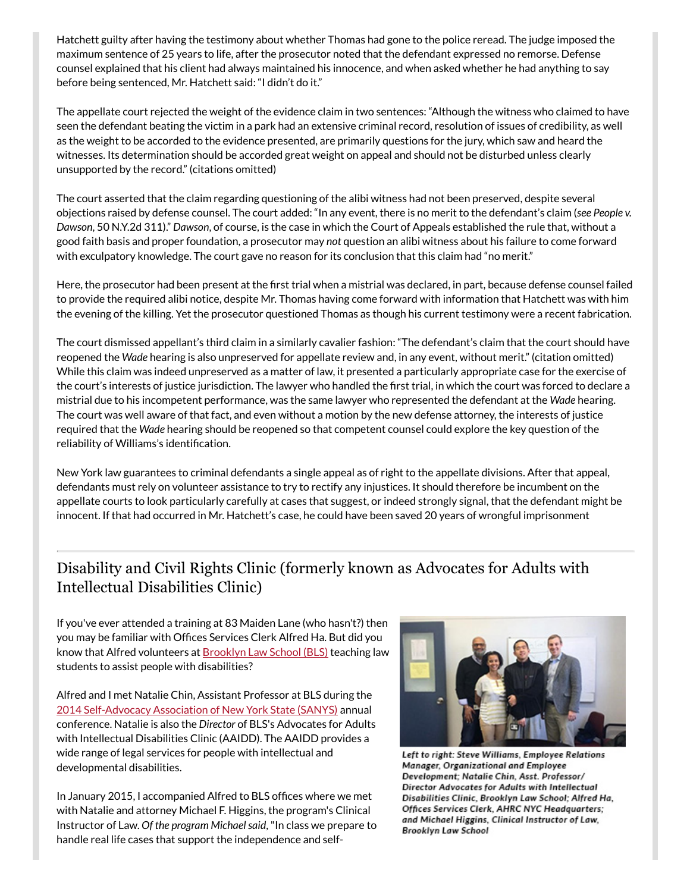Hatchett guilty after having the testimony about whether Thomas had gone to the police reread. The judge imposed the maximum sentence of 25 years to life, after the prosecutor noted that the defendant expressed no remorse. Defense counsel explained that his client had always maintained his innocence, and when asked whether he had anything to say before being sentenced, Mr. Hatchett said: "I didn't do it."

The appellate court rejected the weight of the evidence claim in two sentences: "Although the witness who claimed to have seen the defendant beating the victim in a park had an extensive criminal record, resolution of issues of credibility, as well as the weight to be accorded to the evidence presented, are primarily questions for the jury, which saw and heard the witnesses. Its determination should be accorded great weight on appeal and should not be disturbed unless clearly unsupported by the record." (citations omitted)

The court asserted that the claim regarding questioning of the alibi witness had not been preserved, despite several objections raised by defense counsel. The court added: "In any event, there is no merit to the defendant's claim (*see People v. Dawson*, 50 N.Y.2d 311)." *Dawson*, of course, is the case in which the Court of Appeals established the rule that, without a good faith basis and proper foundation, a prosecutor may *not* question an alibi witness about his failure to come forward with exculpatory knowledge. The court gave no reason for its conclusion that this claim had "no merit."

Here, the prosecutor had been present at the first trial when a mistrial was declared, in part, because defense counsel failed to provide the required alibi notice, despite Mr. Thomas having come forward with information that Hatchett was with him the evening of the killing. Yet the prosecutor questioned Thomas as though his current testimony were a recent fabrication.

The court dismissed appellant's third claim in a similarly cavalier fashion: "The defendant's claim that the court should have reopened the *Wade* hearing is also unpreserved for appellate review and, in any event, without merit." (citation omitted) While this claim was indeed unpreserved as a matter of law, it presented a particularly appropriate case for the exercise of the court's interests of justice jurisdiction. The lawyer who handled the first trial, in which the court was forced to declare a mistrial due to his incompetent performance, was the same lawyer who represented the defendant at the *Wade* hearing. The court was well aware of that fact, and even without a motion by the new defense attorney, the interests of justice required that the *Wade* hearing should be reopened so that competent counsel could explore the key question of the reliability of Williams's identification.

New York law guarantees to criminal defendants a single appeal as of right to the appellate divisions. After that appeal, defendants must rely on volunteer assistance to try to rectify any injustices. It should therefore be incumbent on the appellate courts to look particularly carefully at cases that suggest, or indeed strongly signal, that the defendant might be innocent. If that had occurred in Mr. Hatchett's case, he could have been saved 20 years of wrongful imprisonment

## Disability and Civil Rights Clinic (formerly known as Advocates for Adults with Intellectual Disabilities Clinic)

If you've ever attended a training at 83 Maiden Lane (who hasn't?) then you may be familiar with Offices Services Clerk Alfred Ha. But did you know that Alfred volunteers at **[Brooklyn](https://www.brooklaw.edu/) Law School (BLS)** teaching law students to assist people with disabilities?

Alfred and I met Natalie Chin, Assistant Professor at BLS during the 2014 [Self-Advocacy](http://sanys.org/) Association of New York State (SANYS) annual conference. Natalie is also the *Director* of BLS's Advocates for Adults with Intellectual Disabilities Clinic (AAIDD). The AAIDD provides a wide range of legal services for people with intellectual and developmental disabilities.

In January 2015, I accompanied Alfred to BLS offices where we met with Natalie and attorney Michael F. Higgins, the program's Clinical Instructor of Law. *Of the program Michaelsaid*,"In class we prepare to handle real life cases that support the independence and self-



Left to right: Steve Williams, Employee Relations Manager, Organizational and Employee Development; Natalie Chin, Asst. Professor/ Director Advocates for Adults with Intellectual Disabilities Clinic, Brooklyn Law School; Alfred Ha, Offices Services Clerk, AHRC NYC Headquarters; and Michael Higgins, Clinical Instructor of Law, Brooklyn Law School